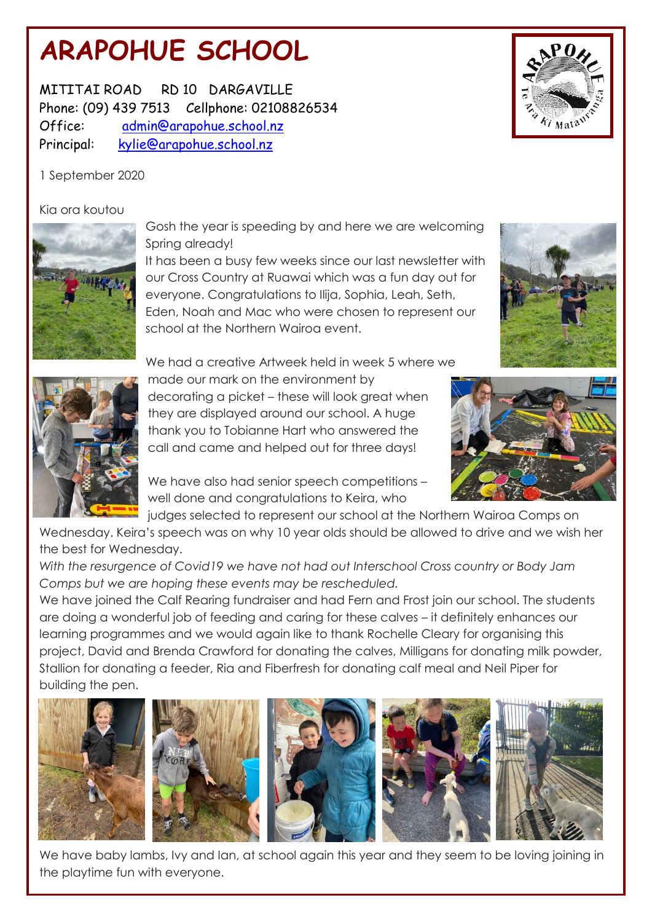# **ARAPOHUE SCHOOL**

MITITAI ROAD RD 10 DARGAVILLE Phone: (09) 439 7513 Cellphone: 02108826534 Office: admin@arapohue.school.nz Principal: [kylie@arapohue.school.nz](mailto:kylie@arapohue.school.nz)

1 September 2020

## Kia ora koutou



Gosh the year is speeding by and here we are welcoming Spring already!

It has been a busy few weeks since our last newsletter with our Cross Country at Ruawai which was a fun day out for everyone. Congratulations to Ilija, Sophia, Leah, Seth, Eden, Noah and Mac who were chosen to represent our school at the Northern Wairoa event.



We had a creative Artweek held in week 5 where we made our mark on the environment by decorating a picket – these will look great when they are displayed around our school. A huge thank you to Tobianne Hart who answered the

We have also had senior speech competitions well done and congratulations to Keira, who

call and came and helped out for three days!

judges selected to represent our school at the Northern Wairoa Comps on

Wednesday. Keira's speech was on why 10 year olds should be allowed to drive and we wish her the best for Wednesday.

*With the resurgence of Covid19 we have not had out Interschool Cross country or Body Jam Comps but we are hoping these events may be rescheduled.*

We have joined the Calf Rearing fundraiser and had Fern and Frost join our school. The students are doing a wonderful job of feeding and caring for these calves – it definitely enhances our learning programmes and we would again like to thank Rochelle Cleary for organising this project, David and Brenda Crawford for donating the calves, Milligans for donating milk powder, Stallion for donating a feeder, Ria and Fiberfresh for donating calf meal and Neil Piper for building the pen.



We have baby lambs, Ivy and Ian, at school again this year and they seem to be loving joining in the playtime fun with everyone.





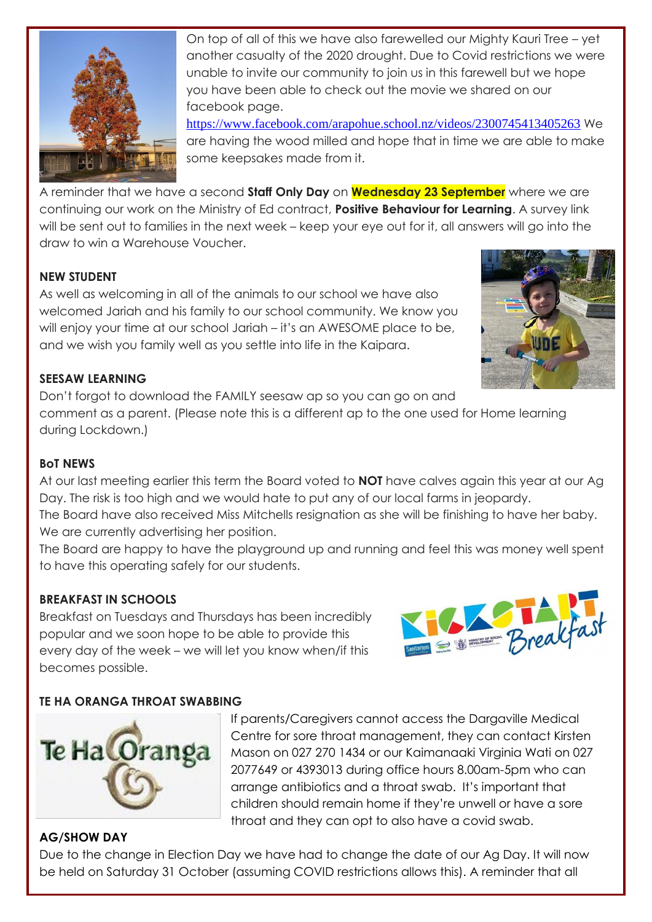

On top of all of this we have also farewelled our Mighty Kauri Tree – yet another casualty of the 2020 drought. Due to Covid restrictions we were unable to invite our community to join us in this farewell but we hope you have been able to check out the movie we shared on our facebook page.

<https://www.facebook.com/arapohue.school.nz/videos/2300745413405263> We are having the wood milled and hope that in time we are able to make some keepsakes made from it.

A reminder that we have a second **Staff Only Day** on **Wednesday 23 September** where we are continuing our work on the Ministry of Ed contract, **Positive Behaviour for Learning**. A survey link will be sent out to families in the next week – keep your eye out for it, all answers will go into the draw to win a Warehouse Voucher.

## **NEW STUDENT**

As well as welcoming in all of the animals to our school we have also welcomed Jariah and his family to our school community. We know you will enjoy your time at our school Jariah – it's an AWESOME place to be, and we wish you family well as you settle into life in the Kaipara.



#### **SEESAW LEARNING**

Don't forgot to download the FAMILY seesaw ap so you can go on and comment as a parent. (Please note this is a different ap to the one used for Home learning during Lockdown.)

### **BoT NEWS**

At our last meeting earlier this term the Board voted to **NOT** have calves again this year at our Ag Day. The risk is too high and we would hate to put any of our local farms in jeopardy.

The Board have also received Miss Mitchells resignation as she will be finishing to have her baby. We are currently advertising her position.

The Board are happy to have the playground up and running and feel this was money well spent to have this operating safely for our students.

#### **BREAKFAST IN SCHOOLS**

Breakfast on Tuesdays and Thursdays has been incredibly popular and we soon hope to be able to provide this every day of the week – we will let you know when/if this becomes possible.



## **TE HA ORANGA THROAT SWABBING**



If parents/Caregivers cannot access the Dargaville Medical Centre for sore throat management, they can contact Kirsten Mason on 027 270 1434 or our Kaimanaaki Virginia Wati on 027 2077649 or 4393013 during office hours 8.00am-5pm who can arrange antibiotics and a throat swab. It's important that children should remain home if they're unwell or have a sore throat and they can opt to also have a covid swab.

#### **AG/SHOW DAY**

Due to the change in Election Day we have had to change the date of our Ag Day. It will now be held on Saturday 31 October (assuming COVID restrictions allows this). A reminder that all